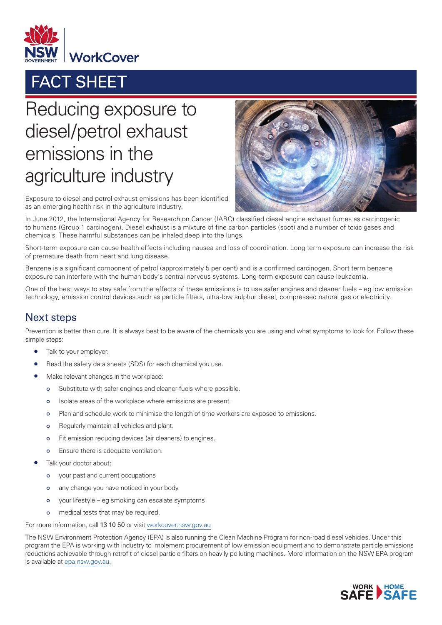

## FACT SHEET

## Reducing exposure to diesel/petrol exhaust emissions in the agriculture industry



Exposure to diesel and petrol exhaust emissions has been identified as an emerging health risk in the agriculture industry.

In June 2012, the International Agency for Research on Cancer (IARC) classified diesel engine exhaust fumes as carcinogenic to humans (Group 1 carcinogen). Diesel exhaust is a mixture of fine carbon particles (soot) and a number of toxic gases and chemicals. These harmful substances can be inhaled deep into the lungs.

Short-term exposure can cause health effects including nausea and loss of coordination. Long term exposure can increase the risk of premature death from heart and lung disease.

Benzene is a significant component of petrol (approximately 5 per cent) and is a confirmed carcinogen. Short term benzene exposure can interfere with the human body's central nervous systems. Long-term exposure can cause leukaemia.

One of the best ways to stay safe from the effects of these emissions is to use safer engines and cleaner fuels – eg low emission technology, emission control devices such as particle filters, ultra-low sulphur diesel, compressed natural gas or electricity.

## Next steps

Prevention is better than cure. It is always best to be aware of the chemicals you are using and what symptoms to look for. Follow these simple steps:

- Talk to your employer.
- Read the safety data sheets (SDS) for each chemical you use.
- Make relevant changes in the workplace:
	- Substitute with safer engines and cleaner fuels where possible.  $\circ$
	- Isolate areas of the workplace where emissions are present.  $\circ$
	- Plan and schedule work to minimise the length of time workers are exposed to emissions.  $\Omega$
	- Regularly maintain all vehicles and plant.  $\Omega$
	- Fit emission reducing devices (air cleaners) to engines.  $\Omega$
	- Ensure there is adequate ventilation.  $\circ$
- Talk your doctor about:
	- your past and current occupations  $\circ$
	- $\circ$ any change you have noticed in your body
	- your lifestyle eg smoking can escalate symptoms  $\circ$
	- medical tests that may be required.  $\circ$

For more information, call 13 10 50 or visit [workcover.nsw.gov.au](http://www.workcover.nsw.gov.au)

The NSW Environment Protection Agency (EPA) is also running the Clean Machine Program for non-road diesel vehicles. Under this program the EPA is working with industry to implement procurement of low emission equipment and to demonstrate particle emissions reductions achievable through retrofit of diesel particle filters on heavily polluting machines. More information on the NSW EPA program is available at [epa.nsw.gov.au](http://www.epa.nsw.gov.au).